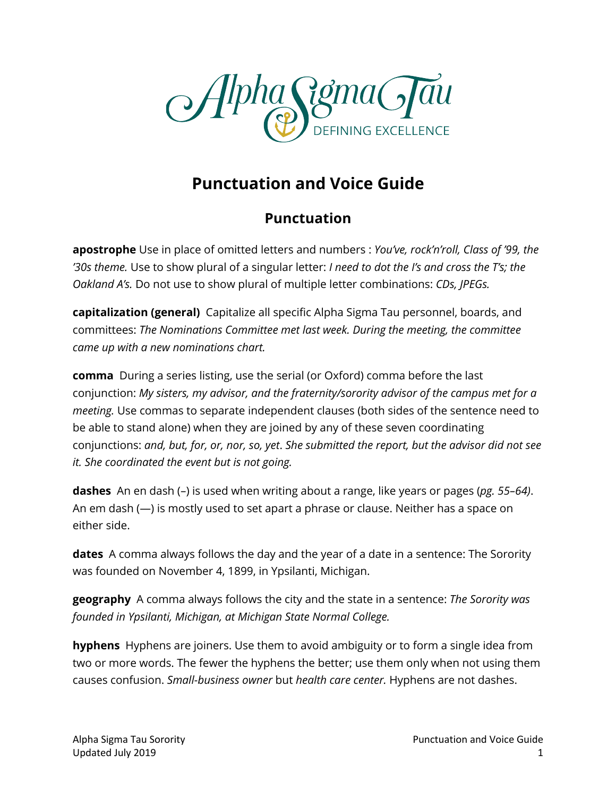

# **Punctuation and Voice Guide**

#### **Punctuation**

**apostrophe** Use in place of omitted letters and numbers : *You've, rock'n'roll, Class of '99, the '30s theme.* Use to show plural of a singular letter: *I need to dot the I's and cross the T's; the Oakland A's.* Do not use to show plural of multiple letter combinations: *CDs, JPEGs.*

**capitalization (general)** Capitalize all specific Alpha Sigma Tau personnel, boards, and committees: *The Nominations Committee met last week. During the meeting, the committee came up with a new nominations chart.* 

**comma** During a series listing, use the serial (or Oxford) comma before the last conjunction: *My sisters, my advisor, and the fraternity/sorority advisor of the campus met for a meeting.* Use commas to separate independent clauses (both sides of the sentence need to be able to stand alone) when they are joined by any of these seven coordinating conjunctions: *and, but, for, or, nor, so, yet*. *She submitted the report, but the advisor did not see it. She coordinated the event but is not going.*

**dashes** An en dash (–) is used when writing about a range, like years or pages (*pg. 55–64)*. An em dash (—) is mostly used to set apart a phrase or clause. Neither has a space on either side.

**dates** A comma always follows the day and the year of a date in a sentence: The Sorority was founded on November 4, 1899, in Ypsilanti, Michigan.

**geography** A comma always follows the city and the state in a sentence: *The Sorority was founded in Ypsilanti, Michigan, at Michigan State Normal College.*

**hyphens** Hyphens are joiners. Use them to avoid ambiguity or to form a single idea from two or more words. The fewer the hyphens the better; use them only when not using them causes confusion. *Small-business owner* but *health care center.* Hyphens are not dashes.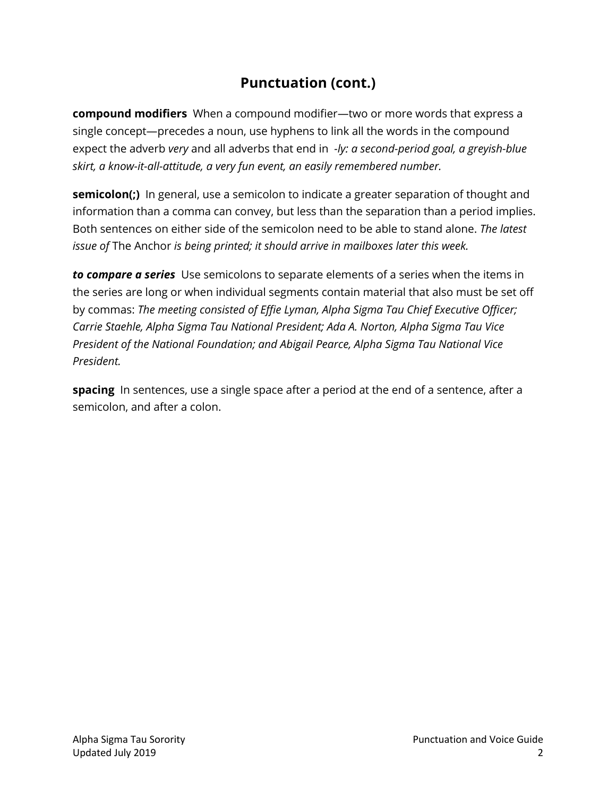## **Punctuation (cont.)**

**compound modifiers** When a compound modifier—two or more words that express a single concept—precedes a noun, use hyphens to link all the words in the compound expect the adverb *very* and all adverbs that end in *-ly: a second-period goal, a greyish-blue skirt, a know-it-all-attitude, a very fun event, an easily remembered number.*

**semicolon(;)** In general, use a semicolon to indicate a greater separation of thought and information than a comma can convey, but less than the separation than a period implies. Both sentences on either side of the semicolon need to be able to stand alone. *The latest issue of* The Anchor *is being printed; it should arrive in mailboxes later this week.*

*to compare a series* Use semicolons to separate elements of a series when the items in the series are long or when individual segments contain material that also must be set off by commas: *The meeting consisted of Effie Lyman, Alpha Sigma Tau Chief Executive Officer; Carrie Staehle, Alpha Sigma Tau National President; Ada A. Norton, Alpha Sigma Tau Vice President of the National Foundation; and Abigail Pearce, Alpha Sigma Tau National Vice President.* 

**spacing** In sentences, use a single space after a period at the end of a sentence, after a semicolon, and after a colon.